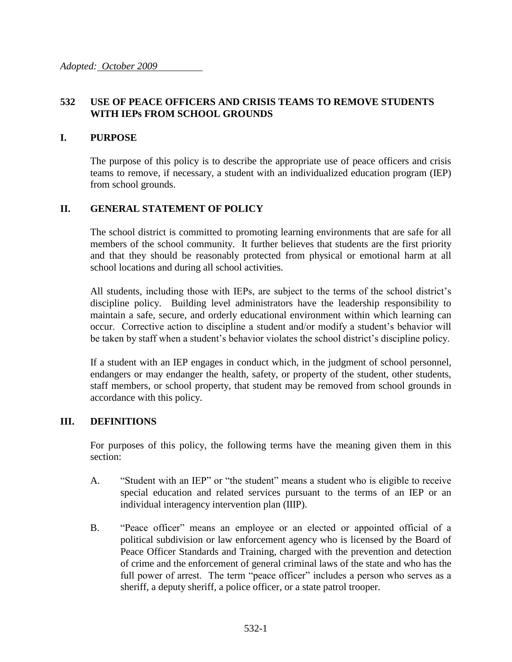## **532 USE OF PEACE OFFICERS AND CRISIS TEAMS TO REMOVE STUDENTS WITH IEPs FROM SCHOOL GROUNDS**

### **I. PURPOSE**

The purpose of this policy is to describe the appropriate use of peace officers and crisis teams to remove, if necessary, a student with an individualized education program (IEP) from school grounds.

## **II. GENERAL STATEMENT OF POLICY**

The school district is committed to promoting learning environments that are safe for all members of the school community. It further believes that students are the first priority and that they should be reasonably protected from physical or emotional harm at all school locations and during all school activities.

All students, including those with IEPs, are subject to the terms of the school district's discipline policy. Building level administrators have the leadership responsibility to maintain a safe, secure, and orderly educational environment within which learning can occur. Corrective action to discipline a student and/or modify a student's behavior will be taken by staff when a student's behavior violates the school district's discipline policy.

If a student with an IEP engages in conduct which, in the judgment of school personnel, endangers or may endanger the health, safety, or property of the student, other students, staff members, or school property, that student may be removed from school grounds in accordance with this policy.

### **III. DEFINITIONS**

For purposes of this policy, the following terms have the meaning given them in this section:

- A. "Student with an IEP" or "the student" means a student who is eligible to receive special education and related services pursuant to the terms of an IEP or an individual interagency intervention plan (IIIP).
- B. "Peace officer" means an employee or an elected or appointed official of a political subdivision or law enforcement agency who is licensed by the Board of Peace Officer Standards and Training, charged with the prevention and detection of crime and the enforcement of general criminal laws of the state and who has the full power of arrest. The term "peace officer" includes a person who serves as a sheriff, a deputy sheriff, a police officer, or a state patrol trooper.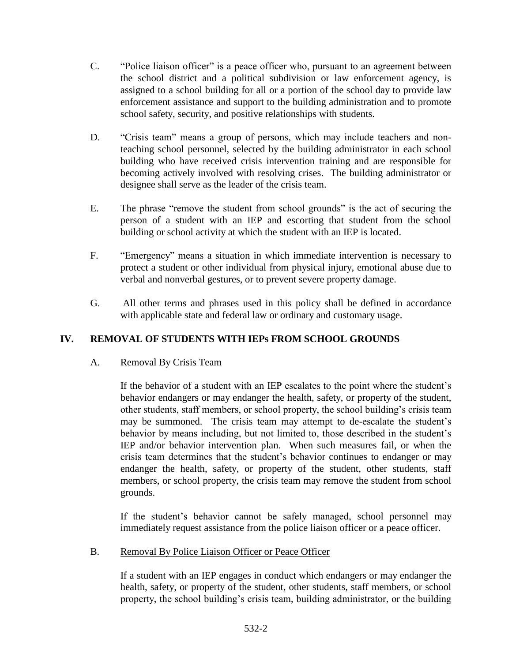- C. "Police liaison officer" is a peace officer who, pursuant to an agreement between the school district and a political subdivision or law enforcement agency, is assigned to a school building for all or a portion of the school day to provide law enforcement assistance and support to the building administration and to promote school safety, security, and positive relationships with students.
- D. "Crisis team" means a group of persons, which may include teachers and nonteaching school personnel, selected by the building administrator in each school building who have received crisis intervention training and are responsible for becoming actively involved with resolving crises. The building administrator or designee shall serve as the leader of the crisis team.
- E. The phrase "remove the student from school grounds" is the act of securing the person of a student with an IEP and escorting that student from the school building or school activity at which the student with an IEP is located.
- F. "Emergency" means a situation in which immediate intervention is necessary to protect a student or other individual from physical injury, emotional abuse due to verbal and nonverbal gestures, or to prevent severe property damage.
- G. All other terms and phrases used in this policy shall be defined in accordance with applicable state and federal law or ordinary and customary usage.

# **IV. REMOVAL OF STUDENTS WITH IEPs FROM SCHOOL GROUNDS**

### A. Removal By Crisis Team

If the behavior of a student with an IEP escalates to the point where the student's behavior endangers or may endanger the health, safety, or property of the student, other students, staff members, or school property, the school building's crisis team may be summoned. The crisis team may attempt to de-escalate the student's behavior by means including, but not limited to, those described in the student's IEP and/or behavior intervention plan. When such measures fail, or when the crisis team determines that the student's behavior continues to endanger or may endanger the health, safety, or property of the student, other students, staff members, or school property, the crisis team may remove the student from school grounds.

If the student's behavior cannot be safely managed, school personnel may immediately request assistance from the police liaison officer or a peace officer.

### B. Removal By Police Liaison Officer or Peace Officer

If a student with an IEP engages in conduct which endangers or may endanger the health, safety, or property of the student, other students, staff members, or school property, the school building's crisis team, building administrator, or the building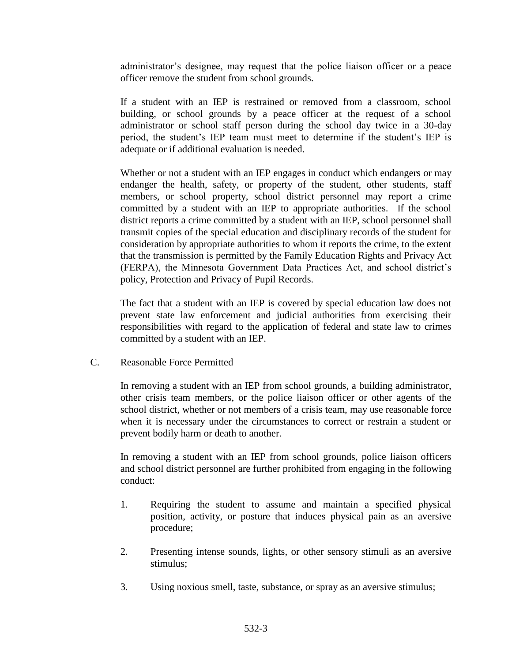administrator's designee, may request that the police liaison officer or a peace officer remove the student from school grounds.

If a student with an IEP is restrained or removed from a classroom, school building, or school grounds by a peace officer at the request of a school administrator or school staff person during the school day twice in a 30-day period, the student's IEP team must meet to determine if the student's IEP is adequate or if additional evaluation is needed.

Whether or not a student with an IEP engages in conduct which endangers or may endanger the health, safety, or property of the student, other students, staff members, or school property, school district personnel may report a crime committed by a student with an IEP to appropriate authorities. If the school district reports a crime committed by a student with an IEP, school personnel shall transmit copies of the special education and disciplinary records of the student for consideration by appropriate authorities to whom it reports the crime, to the extent that the transmission is permitted by the Family Education Rights and Privacy Act (FERPA), the Minnesota Government Data Practices Act, and school district's policy, Protection and Privacy of Pupil Records.

The fact that a student with an IEP is covered by special education law does not prevent state law enforcement and judicial authorities from exercising their responsibilities with regard to the application of federal and state law to crimes committed by a student with an IEP.

### C. Reasonable Force Permitted

In removing a student with an IEP from school grounds, a building administrator, other crisis team members, or the police liaison officer or other agents of the school district, whether or not members of a crisis team, may use reasonable force when it is necessary under the circumstances to correct or restrain a student or prevent bodily harm or death to another.

In removing a student with an IEP from school grounds, police liaison officers and school district personnel are further prohibited from engaging in the following conduct:

- 1. Requiring the student to assume and maintain a specified physical position, activity, or posture that induces physical pain as an aversive procedure;
- 2. Presenting intense sounds, lights, or other sensory stimuli as an aversive stimulus;
- 3. Using noxious smell, taste, substance, or spray as an aversive stimulus;